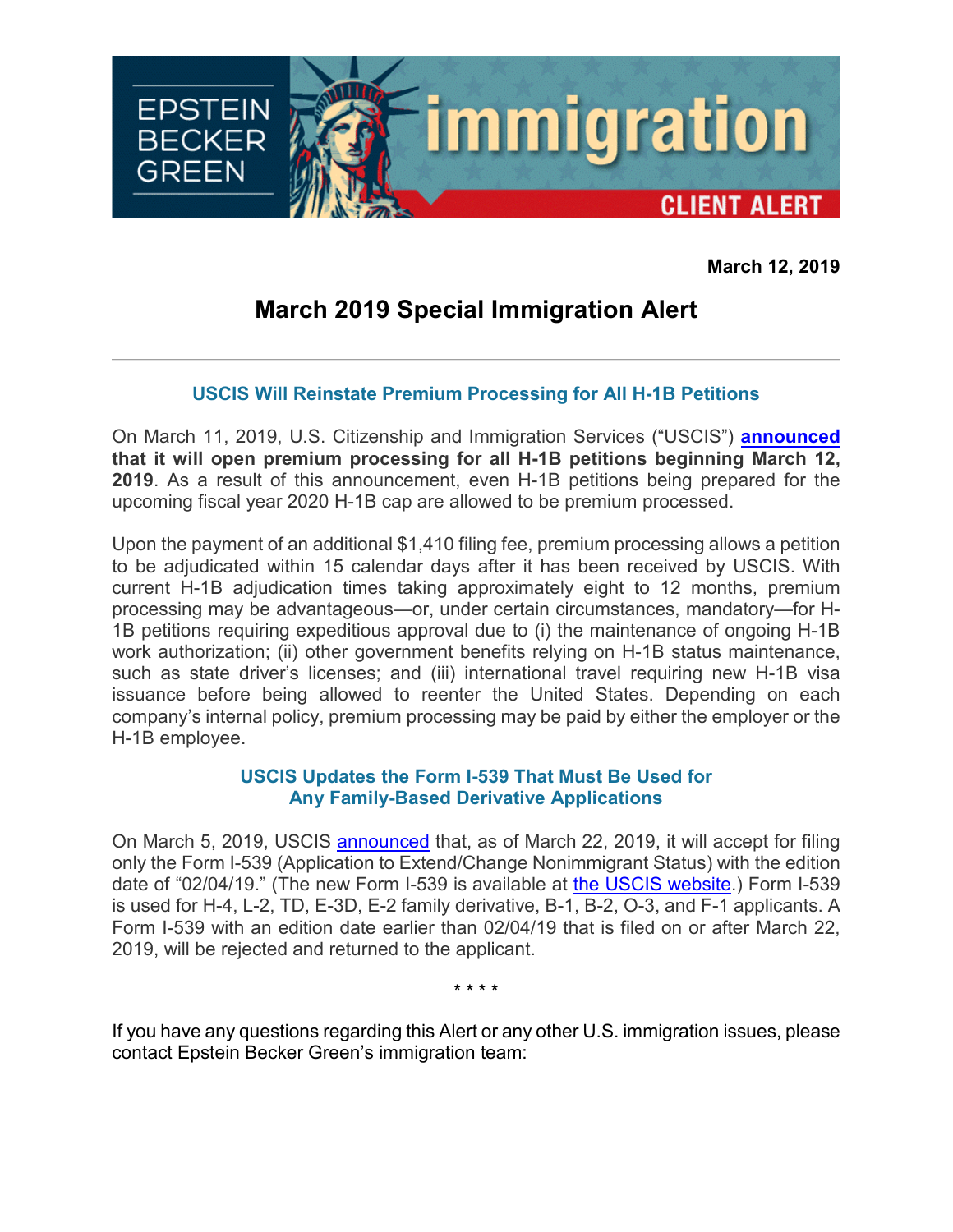

**March 12, 2019**

## **March 2019 Special Immigration Alert**

## **USCIS Will Reinstate Premium Processing for All H-1B Petitions**

On March 11, 2019, U.S. Citizenship and Immigration Services ("USCIS") **[announced](https://www.uscis.gov/news/alerts/uscis-resumes-premium-processing-all-h-1b-petitions) that it will open premium processing for all H-1B petitions beginning March 12, 2019**. As a result of this announcement, even H-1B petitions being prepared for the upcoming fiscal year 2020 H-1B cap are allowed to be premium processed.

Upon the payment of an additional \$1,410 filing fee, premium processing allows a petition to be adjudicated within 15 calendar days after it has been received by USCIS. With current H-1B adjudication times taking approximately eight to 12 months, premium processing may be advantageous—or, under certain circumstances, mandatory—for H-1B petitions requiring expeditious approval due to (i) the maintenance of ongoing H-1B work authorization; (ii) other government benefits relying on H-1B status maintenance, such as state driver's licenses; and (iii) international travel requiring new H-1B visa issuance before being allowed to reenter the United States. Depending on each company's internal policy, premium processing may be paid by either the employer or the H-1B employee.

## **USCIS Updates the Form I-539 That Must Be Used for Any Family-Based Derivative Applications**

On March 5, 2019, USCIS [announced](https://www.uscis.gov/news/alerts/update-uscis-publish-revised-form-i-539-and-new-form-i-539a-march-8) that, as of March 22, 2019, it will accept for filing only the Form I-539 (Application to Extend/Change Nonimmigrant Status) with the edition date of "02/04/19." (The new Form I-539 is available at [the USCIS website.](https://www.uscis.gov/i-539)) Form I-539 is used for H-4, L-2, TD, E-3D, E-2 family derivative, B-1, B-2, O-3, and F-1 applicants. A Form I-539 with an edition date earlier than 02/04/19 that is filed on or after March 22, 2019, will be rejected and returned to the applicant.

\* \* \* \*

If you have any questions regarding this Alert or any other U.S. immigration issues, please contact Epstein Becker Green's immigration team: